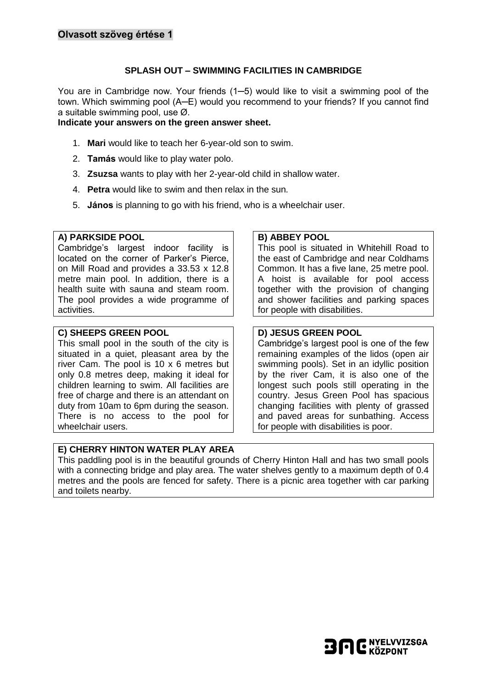## **SPLASH OUT – SWIMMING FACILITIES IN CAMBRIDGE**

You are in Cambridge now. Your friends (1─5) would like to visit a swimming pool of the town. Which swimming pool (A─E) would you recommend to your friends? If you cannot find a suitable swimming pool, use Ø.

#### **Indicate your answers on the green answer sheet.**

- 1. **Mari** would like to teach her 6-year-old son to swim.
- 2. **Tamás** would like to play water polo.
- 3. **Zsuzsa** wants to play with her 2-year-old child in shallow water.
- 4. **Petra** would like to swim and then relax in the sun.
- 5. **János** is planning to go with his friend, who is a wheelchair user.

#### **A) PARKSIDE POOL**

Cambridge's largest indoor facility is located on the corner of Parker's Pierce, on Mill Road and provides a 33.53 x 12.8 metre main pool. In addition, there is a health suite with sauna and steam room. The pool provides a wide programme of activities.

#### **C) SHEEPS GREEN POOL**

This small pool in the south of the city is situated in a quiet, pleasant area by the river Cam. The pool is 10 x 6 metres but only 0.8 metres deep, making it ideal for children learning to swim. All facilities are free of charge and there is an attendant on duty from 10am to 6pm during the season. There is no access to the pool for wheelchair users.

## **E) CHERRY HINTON WATER PLAY AREA**

## **B) ABBEY POOL**

This pool is situated in Whitehill Road to the east of Cambridge and near Coldhams Common. It has a five lane, 25 metre pool. A hoist is available for pool access together with the provision of changing and shower facilities and parking spaces for people with disabilities.

## **D) JESUS GREEN POOL**

Cambridge's largest pool is one of the few remaining examples of the lidos (open air swimming pools). Set in an idyllic position by the river Cam, it is also one of the longest such pools still operating in the country. Jesus Green Pool has spacious changing facilities with plenty of grassed and paved areas for sunbathing. Access for people with disabilities is poor.

This paddling pool is in the beautiful grounds of Cherry Hinton Hall and has two small pools with a connecting bridge and play area. The water shelves gently to a maximum depth of 0.4 metres and the pools are fenced for safety. There is a picnic area together with car parking and toilets nearby.

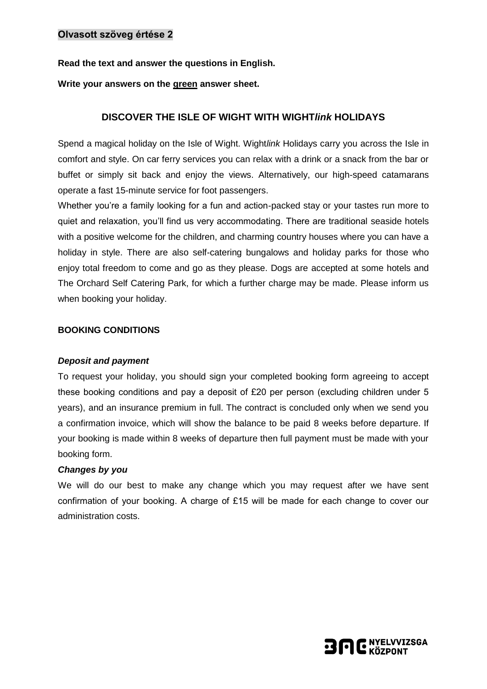**Read the text and answer the questions in English.**

**Write your answers on the green answer sheet.**

# **DISCOVER THE ISLE OF WIGHT WITH WIGHT***link* **HOLIDAYS**

Spend a magical holiday on the Isle of Wight. Wight*link* Holidays carry you across the Isle in comfort and style. On car ferry services you can relax with a drink or a snack from the bar or buffet or simply sit back and enjoy the views. Alternatively, our high-speed catamarans operate a fast 15-minute service for foot passengers.

Whether you're a family looking for a fun and action-packed stay or your tastes run more to quiet and relaxation, you'll find us very accommodating. There are traditional seaside hotels with a positive welcome for the children, and charming country houses where you can have a holiday in style. There are also self-catering bungalows and holiday parks for those who enjoy total freedom to come and go as they please. Dogs are accepted at some hotels and The Orchard Self Catering Park, for which a further charge may be made. Please inform us when booking your holiday.

## **BOOKING CONDITIONS**

## *Deposit and payment*

To request your holiday, you should sign your completed booking form agreeing to accept these booking conditions and pay a deposit of £20 per person (excluding children under 5 years), and an insurance premium in full. The contract is concluded only when we send you a confirmation invoice, which will show the balance to be paid 8 weeks before departure. If your booking is made within 8 weeks of departure then full payment must be made with your booking form.

## *Changes by you*

We will do our best to make any change which you may request after we have sent confirmation of your booking. A charge of £15 will be made for each change to cover our administration costs.

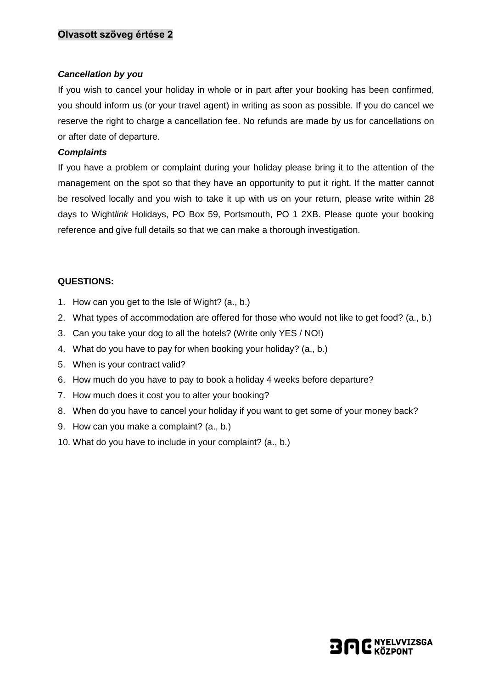## *Cancellation by you*

If you wish to cancel your holiday in whole or in part after your booking has been confirmed, you should inform us (or your travel agent) in writing as soon as possible. If you do cancel we reserve the right to charge a cancellation fee. No refunds are made by us for cancellations on or after date of departure.

## *Complaints*

If you have a problem or complaint during your holiday please bring it to the attention of the management on the spot so that they have an opportunity to put it right. If the matter cannot be resolved locally and you wish to take it up with us on your return, please write within 28 days to Wight*link* Holidays, PO Box 59, Portsmouth, PO 1 2XB. Please quote your booking reference and give full details so that we can make a thorough investigation.

# **QUESTIONS:**

- 1. How can you get to the Isle of Wight? (a., b.)
- 2. What types of accommodation are offered for those who would not like to get food? (a., b.)
- 3. Can you take your dog to all the hotels? (Write only YES / NO!)
- 4. What do you have to pay for when booking your holiday? (a., b.)
- 5. When is your contract valid?
- 6. How much do you have to pay to book a holiday 4 weeks before departure?
- 7. How much does it cost you to alter your booking?
- 8. When do you have to cancel your holiday if you want to get some of your money back?
- 9. How can you make a complaint? (a., b.)
- 10. What do you have to include in your complaint? (a., b.)